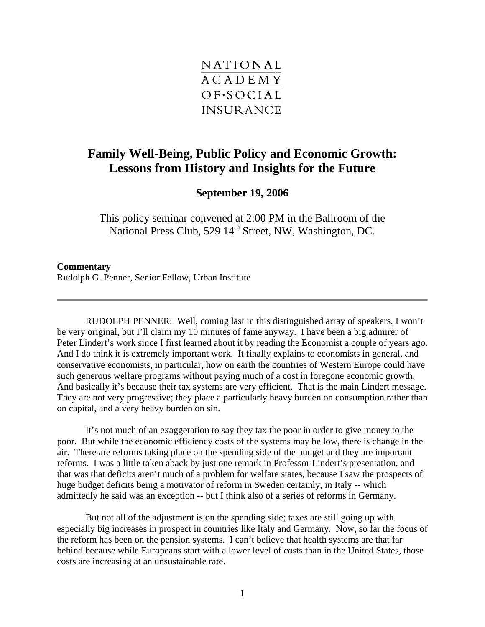

## **Family Well-Being, Public Policy and Economic Growth: Lessons from History and Insights for the Future**

**September 19, 2006** 

This policy seminar convened at 2:00 PM in the Ballroom of the National Press Club, 529 14<sup>th</sup> Street, NW, Washington, DC.

## **Commentary**  Rudolph G. Penner, Senior Fellow, Urban Institute

RUDOLPH PENNER: Well, coming last in this distinguished array of speakers, I won't be very original, but I'll claim my 10 minutes of fame anyway. I have been a big admirer of Peter Lindert's work since I first learned about it by reading the Economist a couple of years ago. And I do think it is extremely important work. It finally explains to economists in general, and conservative economists, in particular, how on earth the countries of Western Europe could have such generous welfare programs without paying much of a cost in foregone economic growth. And basically it's because their tax systems are very efficient. That is the main Lindert message. They are not very progressive; they place a particularly heavy burden on consumption rather than on capital, and a very heavy burden on sin.

It's not much of an exaggeration to say they tax the poor in order to give money to the poor. But while the economic efficiency costs of the systems may be low, there is change in the air. There are reforms taking place on the spending side of the budget and they are important reforms. I was a little taken aback by just one remark in Professor Lindert's presentation, and that was that deficits aren't much of a problem for welfare states, because I saw the prospects of huge budget deficits being a motivator of reform in Sweden certainly, in Italy -- which admittedly he said was an exception -- but I think also of a series of reforms in Germany.

But not all of the adjustment is on the spending side; taxes are still going up with especially big increases in prospect in countries like Italy and Germany. Now, so far the focus of the reform has been on the pension systems. I can't believe that health systems are that far behind because while Europeans start with a lower level of costs than in the United States, those costs are increasing at an unsustainable rate.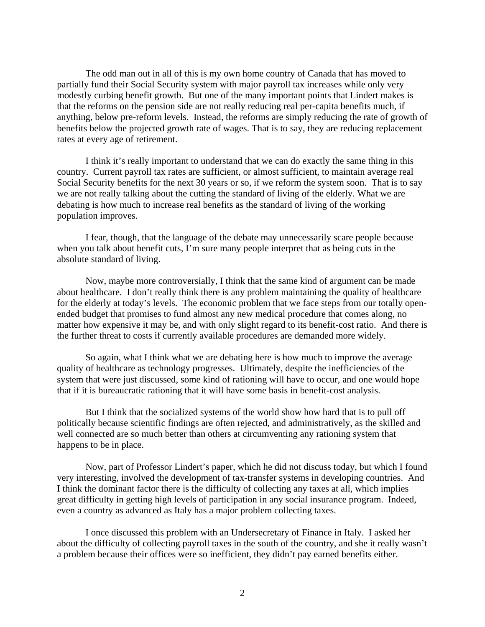The odd man out in all of this is my own home country of Canada that has moved to partially fund their Social Security system with major payroll tax increases while only very modestly curbing benefit growth. But one of the many important points that Lindert makes is that the reforms on the pension side are not really reducing real per-capita benefits much, if anything, below pre-reform levels. Instead, the reforms are simply reducing the rate of growth of benefits below the projected growth rate of wages. That is to say, they are reducing replacement rates at every age of retirement.

I think it's really important to understand that we can do exactly the same thing in this country. Current payroll tax rates are sufficient, or almost sufficient, to maintain average real Social Security benefits for the next 30 years or so, if we reform the system soon. That is to say we are not really talking about the cutting the standard of living of the elderly. What we are debating is how much to increase real benefits as the standard of living of the working population improves.

I fear, though, that the language of the debate may unnecessarily scare people because when you talk about benefit cuts, I'm sure many people interpret that as being cuts in the absolute standard of living.

Now, maybe more controversially, I think that the same kind of argument can be made about healthcare. I don't really think there is any problem maintaining the quality of healthcare for the elderly at today's levels. The economic problem that we face steps from our totally openended budget that promises to fund almost any new medical procedure that comes along, no matter how expensive it may be, and with only slight regard to its benefit-cost ratio. And there is the further threat to costs if currently available procedures are demanded more widely.

So again, what I think what we are debating here is how much to improve the average quality of healthcare as technology progresses. Ultimately, despite the inefficiencies of the system that were just discussed, some kind of rationing will have to occur, and one would hope that if it is bureaucratic rationing that it will have some basis in benefit-cost analysis.

But I think that the socialized systems of the world show how hard that is to pull off politically because scientific findings are often rejected, and administratively, as the skilled and well connected are so much better than others at circumventing any rationing system that happens to be in place.

Now, part of Professor Lindert's paper, which he did not discuss today, but which I found very interesting, involved the development of tax-transfer systems in developing countries. And I think the dominant factor there is the difficulty of collecting any taxes at all, which implies great difficulty in getting high levels of participation in any social insurance program. Indeed, even a country as advanced as Italy has a major problem collecting taxes.

I once discussed this problem with an Undersecretary of Finance in Italy. I asked her about the difficulty of collecting payroll taxes in the south of the country, and she it really wasn't a problem because their offices were so inefficient, they didn't pay earned benefits either.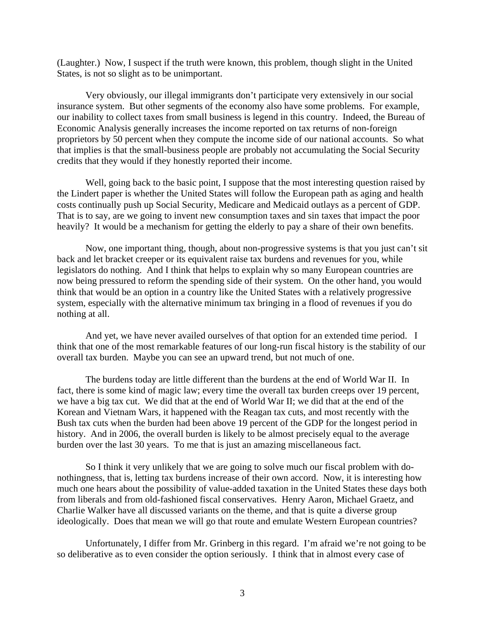(Laughter.) Now, I suspect if the truth were known, this problem, though slight in the United States, is not so slight as to be unimportant.

Very obviously, our illegal immigrants don't participate very extensively in our social insurance system. But other segments of the economy also have some problems. For example, our inability to collect taxes from small business is legend in this country. Indeed, the Bureau of Economic Analysis generally increases the income reported on tax returns of non-foreign proprietors by 50 percent when they compute the income side of our national accounts. So what that implies is that the small-business people are probably not accumulating the Social Security credits that they would if they honestly reported their income.

Well, going back to the basic point, I suppose that the most interesting question raised by the Lindert paper is whether the United States will follow the European path as aging and health costs continually push up Social Security, Medicare and Medicaid outlays as a percent of GDP. That is to say, are we going to invent new consumption taxes and sin taxes that impact the poor heavily? It would be a mechanism for getting the elderly to pay a share of their own benefits.

Now, one important thing, though, about non-progressive systems is that you just can't sit back and let bracket creeper or its equivalent raise tax burdens and revenues for you, while legislators do nothing. And I think that helps to explain why so many European countries are now being pressured to reform the spending side of their system. On the other hand, you would think that would be an option in a country like the United States with a relatively progressive system, especially with the alternative minimum tax bringing in a flood of revenues if you do nothing at all.

And yet, we have never availed ourselves of that option for an extended time period. I think that one of the most remarkable features of our long-run fiscal history is the stability of our overall tax burden. Maybe you can see an upward trend, but not much of one.

The burdens today are little different than the burdens at the end of World War II. In fact, there is some kind of magic law; every time the overall tax burden creeps over 19 percent, we have a big tax cut. We did that at the end of World War II; we did that at the end of the Korean and Vietnam Wars, it happened with the Reagan tax cuts, and most recently with the Bush tax cuts when the burden had been above 19 percent of the GDP for the longest period in history. And in 2006, the overall burden is likely to be almost precisely equal to the average burden over the last 30 years. To me that is just an amazing miscellaneous fact.

So I think it very unlikely that we are going to solve much our fiscal problem with donothingness, that is, letting tax burdens increase of their own accord. Now, it is interesting how much one hears about the possibility of value-added taxation in the United States these days both from liberals and from old-fashioned fiscal conservatives. Henry Aaron, Michael Graetz, and Charlie Walker have all discussed variants on the theme, and that is quite a diverse group ideologically. Does that mean we will go that route and emulate Western European countries?

Unfortunately, I differ from Mr. Grinberg in this regard. I'm afraid we're not going to be so deliberative as to even consider the option seriously. I think that in almost every case of